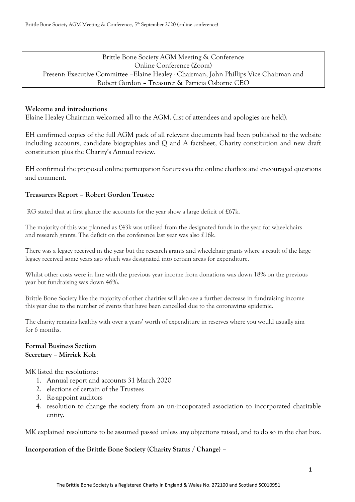# Brittle Bone Society AGM Meeting & Conference Online Conference (Zoom) Present: Executive Committee –Elaine Healey - Chairman, John Phillips Vice Chairman and Robert Gordon – Treasurer & Patricia Osborne CEO

### **Welcome and introductions**

Elaine Healey Chairman welcomed all to the AGM. (list of attendees and apologies are held).

EH confirmed copies of the full AGM pack of all relevant documents had been published to the website including accounts, candidate biographies and Q and A factsheet, Charity constitution and new draft constitution plus the Charity's Annual review.

EH confirmed the proposed online participation features via the online chatbox and encouraged questions and comment.

#### **Treasurers Report – Robert Gordon Trustee**

RG stated that at first glance the accounts for the year show a large deficit of £67k.

The majority of this was planned as £43k was utilised from the designated funds in the year for wheelchairs and research grants. The deficit on the conference last year was also £16k.

There was a legacy received in the year but the research grants and wheelchair grants where a result of the large legacy received some years ago which was designated into certain areas for expenditure.

Whilst other costs were in line with the previous year income from donations was down 18% on the previous year but fundraising was down 46%.

Brittle Bone Society like the majority of other charities will also see a further decrease in fundraising income this year due to the number of events that have been cancelled due to the coronavirus epidemic.

The charity remains healthy with over a years' worth of expenditure in reserves where you would usually aim for 6 months.

## **Formal Business Section Secretary – Mirrick Koh**

MK listed the resolutions:

- 1. Annual report and accounts 31 March 2020
- 2. elections of certain of the Trustees
- 3. Re-appoint auditors
- 4. resolution to change the society from an un-incoporated association to incorporated charitable entity.

MK explained resolutions to be assumed passed unless any objections raised, and to do so in the chat box.

#### **Incorporation of the Brittle Bone Society (Charity Status / Change) –**